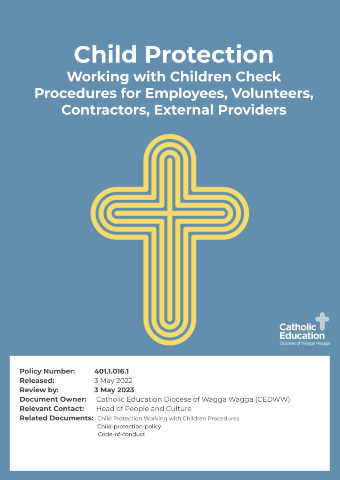**Child Protection Working with Children Check Procedures for Employees, Volunteers, Contractors, External Providers** 





| <b>Policy Number:</b>    | 401.1.016.1                                                          |
|--------------------------|----------------------------------------------------------------------|
| <b>Released:</b>         | 3 May 2022                                                           |
| Review by:               | 3 May 2023                                                           |
| <b>Document Owner:</b>   | Catholic Education Diocese of Wagga Wagga (CEDWW)                    |
| <b>Relevant Contact:</b> | Head of People and Culture                                           |
|                          | Related Documents: Child Protection Working with Children Procedures |
|                          | Child-protection-policy                                              |

Code-of-conduct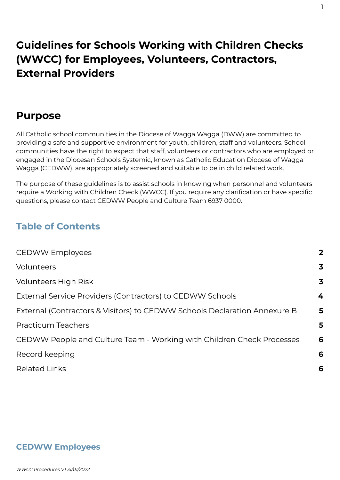# **Guidelines for Schools Working with Children Checks (WWCC) for Employees, Volunteers, Contractors, External Providers**

# **Purpose**

All Catholic school communities in the Diocese of Wagga Wagga (DWW) are committed to providing a safe and supportive environment for youth, children, staff and volunteers. School communities have the right to expect that staff, volunteers or contractors who are employed or engaged in the Diocesan Schools Systemic, known as Catholic Education Diocese of Wagga Wagga (CEDWW), are appropriately screened and suitable to be in child related work.

The purpose of these guidelines is to assist schools in knowing when personnel and volunteers require a Working with Children Check (WWCC). If you require any clarification or have specific questions, please contact CEDWW People and Culture Team 6937 0000.

## **Table of Contents**

| <b>CEDWW Employees</b>                                                    | $\mathbf{2}$ |
|---------------------------------------------------------------------------|--------------|
| Volunteers                                                                | 3            |
| <b>Volunteers High Risk</b>                                               | 3            |
| External Service Providers (Contractors) to CEDWW Schools                 | 4            |
| External (Contractors & Visitors) to CEDWW Schools Declaration Annexure B | 5            |
| <b>Practicum Teachers</b>                                                 | 5            |
| CEDWW People and Culture Team - Working with Children Check Processes     | 6            |
| Record keeping                                                            | 6            |
| <b>Related Links</b>                                                      | 6            |

#### **CEDWW Employees**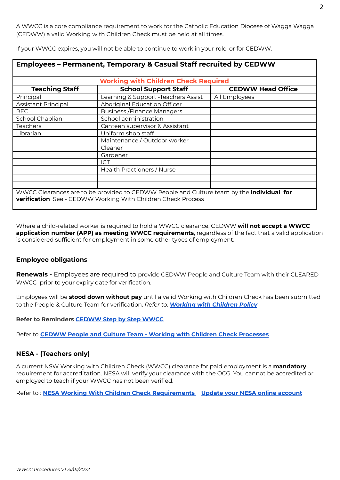A WWCC is a core compliance requirement to work for the Catholic Education Diocese of Wagga Wagga (CEDWW) a valid Working with Children Check must be held at all times.

| <b>Working with Children Check Required</b> |                                     |                          |  |  |
|---------------------------------------------|-------------------------------------|--------------------------|--|--|
| <b>Teaching Staff</b>                       | <b>School Support Staff</b>         | <b>CEDWW Head Office</b> |  |  |
| Principal                                   | Learning & Support -Teachers Assist | All Employees            |  |  |
| Assistant Principal                         | Aboriginal Education Officer        |                          |  |  |
| <b>REC</b>                                  | <b>Business / Finance Managers</b>  |                          |  |  |
| School Chaplian                             | School administration               |                          |  |  |
| <b>Teachers</b>                             | Canteen supervisor & Assistant      |                          |  |  |
| Librarian                                   | Uniform shop staff                  |                          |  |  |
|                                             | Maintenance / Outdoor worker        |                          |  |  |
|                                             | Cleaner                             |                          |  |  |
|                                             | Gardener                            |                          |  |  |
|                                             | <b>ICT</b>                          |                          |  |  |
|                                             | Health Practioners / Nurse          |                          |  |  |
|                                             |                                     |                          |  |  |
|                                             |                                     |                          |  |  |

If your WWCC expires, you will not be able to continue to work in your role, or for CEDWW.

Where a child-related worker is required to hold a WWCC clearance, CEDWW **will not accept a WWCC application number (APP) as meeting WWCC requirements**, regardless of the fact that a valid application is considered sufficient for employment in some other types of employment.

#### **Employee obligations**

**Renewals -** Employees are required to provide CEDWW People and Culture Team with their CLEARED WWCC prior to your expiry date for verification.

Employees will be **stood down without pay** until a valid Working with Children Check has been submitted to the People & Culture Team for verification. *Refer to: [Working](https://docs.google.com/document/d/1_BwPFZxK-6Wnxc_pJo96Wb9hKIIt9wlGiAs-TexUvbE/edit?usp=sharing) with Children Policy*

**Refer to Reminders [CEDWW](https://drive.google.com/file/d/1xXO23qNs1h-V-wMO6dAYXzIdUKf_bXjf/view?usp=sharing) Step by Step WWCC**

Refer to **CEDWW People and Culture Team - Working with Children Check [Processes](#page-6-0)**

#### **NESA - (Teachers only)**

A current NSW Working with Children Check (WWCC) clearance for paid employment is a **mandatory** requirement for accreditation. NESA will verify your clearance with the OCG. You cannot be accredited or employed to teach if your WWCC has not been verified.

Refer to : **NESA Working With Children Check [Requirements](https://educationstandards.nsw.edu.au/wps/portal/nesa/teacher-accreditation/meeting-requirements/wwcc-clearances) Update your NESA online [account](https://educationstandards.nsw.edu.au/wps/portal/nesa/teacher-accreditation/meeting-requirements/wwcc-clearances/apply-for-wwcc)**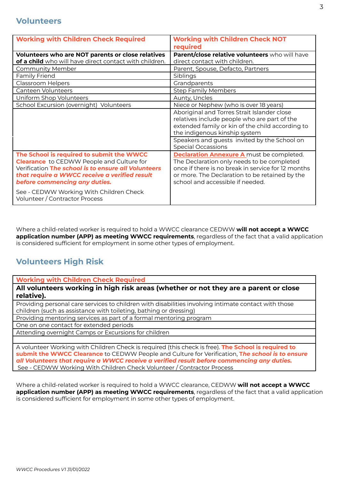<span id="page-3-0"></span>

| <b>Working with Children Check Required</b>                                                                                                                                                                                            | <b>Working with Children Check NOT</b><br>required                                                                                                                                                                                         |
|----------------------------------------------------------------------------------------------------------------------------------------------------------------------------------------------------------------------------------------|--------------------------------------------------------------------------------------------------------------------------------------------------------------------------------------------------------------------------------------------|
| <b>Volunteers who are NOT parents or close relatives</b><br>of a child who will have direct contact with children.                                                                                                                     | Parent/close relative volunteers who will have<br>direct contact with children.                                                                                                                                                            |
| <b>Community Member</b>                                                                                                                                                                                                                | Parent, Spouse, Defacto, Partners                                                                                                                                                                                                          |
| Family Friend                                                                                                                                                                                                                          | Siblings                                                                                                                                                                                                                                   |
| Classroom Helpers                                                                                                                                                                                                                      | Grandparents                                                                                                                                                                                                                               |
| Canteen Volunteers                                                                                                                                                                                                                     | <b>Step Family Members</b>                                                                                                                                                                                                                 |
| Uniform Shop Volunteers                                                                                                                                                                                                                | Aunty, Uncles                                                                                                                                                                                                                              |
| School Excursion (overnight) Volunteers                                                                                                                                                                                                | Niece or Nephew (who is over 18 years)                                                                                                                                                                                                     |
|                                                                                                                                                                                                                                        | Aboriginal and Torres Strait Islander close<br>relatives include people who are part of the<br>extended family or kin of the child according to<br>the indigenous kinship system<br>Speakers and guests invited by the School on           |
|                                                                                                                                                                                                                                        | <b>Special Occassions</b>                                                                                                                                                                                                                  |
| The School is required to submit the WWCC<br><b>Clearance</b> to CEDWW People and Culture for<br>Verification The school is to ensure all Volunteers<br>that require a WWCC receive a verified result<br>before commencing any duties. | <b>Declaration Annexure A must be completed.</b><br>The Declaration only needs to be completed<br>once if there is no break in service for 12 months<br>or more. The Declaration to be retained by the<br>school and accessible if needed. |
| See - CEDWW Working With Children Check<br>Volunteer / Contractor Process                                                                                                                                                              |                                                                                                                                                                                                                                            |

Where a child-related worker is required to hold a WWCC clearance CEDWW **will not accept a WWCC application number (APP) as meeting WWCC requirements**, regardless of the fact that a valid application is considered sufficient for employment in some other types of employment.

### <span id="page-3-1"></span>**Volunteers High Risk**

**Working with Children Check Required**

**All volunteers working in high risk areas (whether or not they are a parent or close relative).**

Providing personal care services to children with disabilities involving intimate contact with those children (such as assistance with toileting, bathing or dressing)

Providing mentoring services as part of a formal mentoring program

One on one contact for extended periods

Attending overnight Camps or Excursions for children

A volunteer Working with Children Check is required (this check is free). **The School is required to submit the WWCC Clearance** to CEDWW People and Culture for Verification, **T***he school is to ensure all Volunteers that require a WWCC receive a verified result before commencing any duties.* See - CEDWW Working With Children Check Volunteer / Contractor Process

Where a child-related worker is required to hold a WWCC clearance, CEDWW **will not accept a WWCC application number (APP) as meeting WWCC requirements**, regardless of the fact that a valid application is considered sufficient for employment in some other types of employment.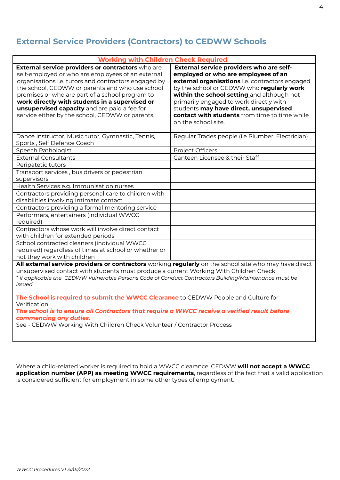### <span id="page-4-0"></span>**External Service Providers (Contractors) to CEDWW Schools**

| <b>Working with Children Check Required</b>                                                                                                                                                                                                                                                                                                                                                                               |                                                                                                                                                                                                                                                                                                                                                                                            |  |  |  |
|---------------------------------------------------------------------------------------------------------------------------------------------------------------------------------------------------------------------------------------------------------------------------------------------------------------------------------------------------------------------------------------------------------------------------|--------------------------------------------------------------------------------------------------------------------------------------------------------------------------------------------------------------------------------------------------------------------------------------------------------------------------------------------------------------------------------------------|--|--|--|
| External service providers or contractors who are<br>self-employed or who are employees of an external<br>organisations i.e. tutors and contractors engaged by<br>the school, CEDWW or parents and who use school<br>premises or who are part of a school program to<br>work directly with students in a supervised or<br>unsupervised capacity and are paid a fee for<br>service either by the school, CEDWW or parents. | External service providers who are self-<br>employed or who are employees of an<br>external organisations i.e. contractors engaged<br>by the school or CEDWW who regularly work<br>within the school setting and although not<br>primarily engaged to work directly with<br>students may have direct, unsupervised<br>contact with students from time to time while<br>on the school site. |  |  |  |
| Dance Instructor, Music tutor, Gymnastic, Tennis,<br>Sports, Self Defence Coach                                                                                                                                                                                                                                                                                                                                           | Regular Trades people (i.e Plumber, Electrician)                                                                                                                                                                                                                                                                                                                                           |  |  |  |
| Speech Pathologist                                                                                                                                                                                                                                                                                                                                                                                                        | Project Officers                                                                                                                                                                                                                                                                                                                                                                           |  |  |  |
| <b>External Consultants</b>                                                                                                                                                                                                                                                                                                                                                                                               | Canteen Licensee & their Staff                                                                                                                                                                                                                                                                                                                                                             |  |  |  |
| Peripatetic tutors                                                                                                                                                                                                                                                                                                                                                                                                        |                                                                                                                                                                                                                                                                                                                                                                                            |  |  |  |
| Transport services, bus drivers or pedestrian<br>supervisors                                                                                                                                                                                                                                                                                                                                                              |                                                                                                                                                                                                                                                                                                                                                                                            |  |  |  |
| Health Services e.g. Immunisation nurses                                                                                                                                                                                                                                                                                                                                                                                  |                                                                                                                                                                                                                                                                                                                                                                                            |  |  |  |
| Contractors providing personal care to children with<br>disabilities involving intimate contact                                                                                                                                                                                                                                                                                                                           |                                                                                                                                                                                                                                                                                                                                                                                            |  |  |  |
| Contractors providing a formal mentoring service                                                                                                                                                                                                                                                                                                                                                                          |                                                                                                                                                                                                                                                                                                                                                                                            |  |  |  |
| Performers, entertainers (individual WWCC<br>required)                                                                                                                                                                                                                                                                                                                                                                    |                                                                                                                                                                                                                                                                                                                                                                                            |  |  |  |
| Contractors whose work will involve direct contact<br>with children for extended periods                                                                                                                                                                                                                                                                                                                                  |                                                                                                                                                                                                                                                                                                                                                                                            |  |  |  |
| School contracted cleaners (individual WWCC<br>required) regardless of times at school or whether or<br>not they work with children                                                                                                                                                                                                                                                                                       |                                                                                                                                                                                                                                                                                                                                                                                            |  |  |  |
| All external service providers or contractors working regularly on the school site who may have direct<br>unsupervised contact with students must produce a current Working With Children Check.<br>* if applicable the CEDWW Vulnerable Persons Code of Conduct Contractors Building/Maintenance must be                                                                                                                 |                                                                                                                                                                                                                                                                                                                                                                                            |  |  |  |

*issued.*

**The School is required to submit the WWCC Clearance** to CEDWW People and Culture for Verification.

**T***he school is to ensure all Contractors that require a WWCC receive a verified result before commencing any duties.*

See - CEDWW Working With Children Check Volunteer / Contractor Process

Where a child-related worker is required to hold a WWCC clearance, CEDWW **will not accept a WWCC application number (APP) as meeting WWCC requirements**, regardless of the fact that a valid application is considered sufficient for employment in some other types of employment.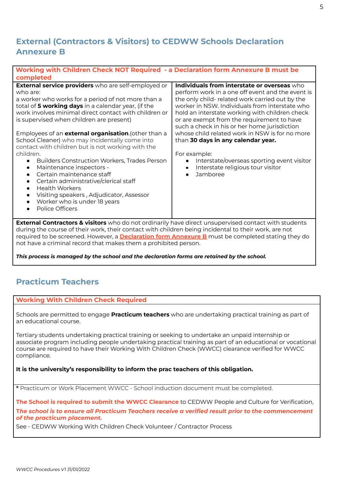### <span id="page-5-0"></span>**External (Contractors & Visitors) to CEDWW Schools Declaration Annexure B**

| Working with Children Check NOT Required - a Declaration form Annexure B must be<br>completed |                                                  |  |  |  |
|-----------------------------------------------------------------------------------------------|--------------------------------------------------|--|--|--|
| <b>External service providers</b> who are self-employed or                                    | Individuals from interstate or overseas who      |  |  |  |
| who are:                                                                                      | perform work in a one off event and the event is |  |  |  |
| a worker who works for a period of not more than a                                            | the only child- related work carried out by the  |  |  |  |
| total of 5 working days in a calendar year, (if the                                           | worker in NSW. Individuals from interstate who   |  |  |  |
| work involves minimal direct contact with children or                                         | hold an interstate working with children check   |  |  |  |
| is supervised when children are present)                                                      | or are exempt from the requirement to have       |  |  |  |
|                                                                                               | such a check in his or her home jurisdiction     |  |  |  |
| Employees of an <b>external organisation</b> . (other than a                                  | whose child related work in NSW is for no more   |  |  |  |
| School Cleaner) who may incidentally come into                                                | than 30 days in any calendar year.               |  |  |  |
| contact with children but is not working with the                                             |                                                  |  |  |  |
| children.                                                                                     | For example:                                     |  |  |  |
| <b>Builders Construction Workers, Trades Person</b><br>$\bullet$                              | Interstate/overseas sporting event visitor       |  |  |  |
| Maintenance inspectors -<br>$\bullet$                                                         | Interstate religious tour visitor                |  |  |  |
| Certain maintenance staff                                                                     | Jamboree                                         |  |  |  |
| Certain administrative/clerical staff<br>$\bullet$<br><b>Health Workers</b><br>$\bullet$      |                                                  |  |  |  |
| Visiting speakers, Adjudicator, Assessor<br>$\bullet$                                         |                                                  |  |  |  |
| Worker who is under 18 years                                                                  |                                                  |  |  |  |
| Police Officers                                                                               |                                                  |  |  |  |
|                                                                                               |                                                  |  |  |  |

**External Contractors & visitors** who do not ordinarily have direct unsupervised contact with students during the course of their work, their contact with children being incidental to their work, are not required to be screened. However, a **[Declaration](https://drive.google.com/file/d/1Zz1FshzuBN1KpRRvgZpihkJMF4UdK3hQ/view?usp=sharing) form Annexure B** must be completed stating they do not have a criminal record that makes them a prohibited person.

*This process is managed by the school and the declaration forms are retained by the school.*

### <span id="page-5-1"></span>**Practicum Teachers**

#### **Working With Children Check Required**

Schools are permitted to engage **Practicum teachers** who are undertaking practical training as part of an educational course.

Tertiary students undertaking practical training or seeking to undertake an unpaid internship or associate program including people undertaking practical training as part of an educational or vocational course are required to have their Working With Children Check (WWCC) clearance verified for WWCC compliance.

#### **It is the university's responsibility to inform the prac teachers of this obligation.**

**\*** Practicum or Work Placement WWCC - School induction document must be completed.

**The School is required to submit the WWCC Clearance** to CEDWW People and Culture for Verification, **T***he school is to ensure all Practicum Teachers receive a verified result prior to the commencement of the practicum placement.*

See - CEDWW Working With Children Check Volunteer / Contractor Process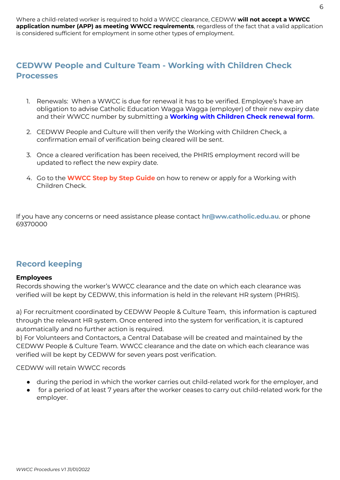#### <span id="page-6-0"></span>**CEDWW People and Culture Team - Working with Children Check Processes**

- 1. Renewals: When a WWCC is due for renewal it has to be verified. Employee's have an obligation to advise Catholic Education Wagga Wagga (employer) of their new expiry date and their WWCC number by submitting a **[Working](https://service.ww.catholic.edu.au/support/catalog/items/34) with Children Check renewal form.**
- 2. CEDWW People and Culture will then verify the Working with Children Check, a confirmation email of verification being cleared will be sent.
- 3. Once a cleared verification has been received, the PHRIS employment record will be updated to reflect the new expiry date.
- 4. Go to the **WWCC Step by Step Guide** on how to renew or apply for a Working with Children Check.

If you have any concerns or need assistance please contact **[hr@ww.catholic.edu.](mailto:hr@ww.catholic.edu)au**. or phone 69370000

#### <span id="page-6-1"></span>**Record keeping**

#### **Employees**

Records showing the worker's WWCC clearance and the date on which each clearance was verified will be kept by CEDWW, this information is held in the relevant HR system (PHRIS).

a) For recruitment coordinated by CEDWW People & Culture Team, this information is captured through the relevant HR system. Once entered into the system for verification, it is captured automatically and no further action is required.

b) For Volunteers and Contactors, a Central Database will be created and maintained by the CEDWW People & Culture Team. WWCC clearance and the date on which each clearance was verified will be kept by CEDWW for seven years post verification.

CEDWW will retain WWCC records

- during the period in which the worker carries out child-related work for the employer, and
- for a period of at least 7 years after the worker ceases to carry out child-related work for the employer.